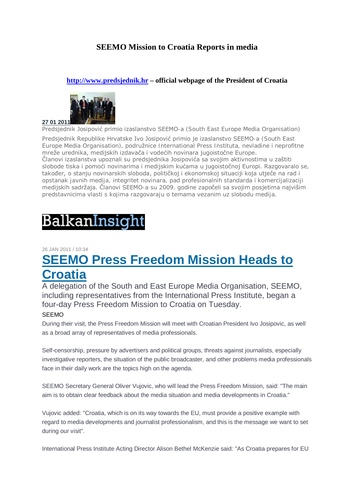### **SEEMO Mission to Croatia Reports in media**

### **http://www.predsjednik.hr – official webpage of the President of Croatia**



Predsjednik Josipović primio izaslanstvo SEEMO-a (South East Europe Media Organisation) Predsjednik Republike Hrvatske Ivo Josipović primio je izaslanstvo SEEMO-a (South East Europe Media Organisation), podružnice International Press Instituta, nevladine i neprofitne mreže urednika, medijskih izdavača i vodećih novinara jugoistočne Europe. Članovi izaslanstva upoznali su predsjednika Josipovića sa svojim aktivnostima u zaštiti slobode tiska i pomoći novinarima i medijskim kućama u jugoistočnoj Europi. Razgovaralo se, također, o stanju novinarskih sloboda, političkoj i ekonomskoj situaciji koja utječe na rad i opstanak javnih medija, integritet novinara, pad profesionalnih standarda i komercijalizaciji medijskih sadržaja. Članovi SEEMO-a su 2009. godine započeli sa svojim posjetima najvišim predstavnicima vlasti s kojima razgovaraju o temama vezanim uz slobodu medija.

# BalkanInsight

#### 26 JAN 2011 / 10:34

# **SEEMO Press Freedom Mission Heads to Croatia**

A delegation of the South and East Europe Media Organisation, SEEMO, including representatives from the International Press Institute, began a four-day Press Freedom Mission to Croatia on Tuesday.

### SEEMO

During their visit, the Press Freedom Mission will meet with Croatian President Ivo Josipovic, as well as a broad array of representatives of media professionals.

Self-censorship, pressure by advertisers and political groups, threats against journalists, especially investigative reporters, the situation of the public broadcaster, and other problems media professionals face in their daily work are the topics high on the agenda.

SEEMO Secretary General Oliver Vujovic, who will lead the Press Freedom Mission, said: "The main aim is to obtain clear feedback about the media situation and media developments in Croatia."

Vujovic added: "Croatia, which is on its way towards the EU, must provide a positive example with regard to media developments and journalist professionalism, and this is the message we want to set during our visit".

International Press Institute Acting Director Alison Bethel McKenzie said: "As Croatia prepares for EU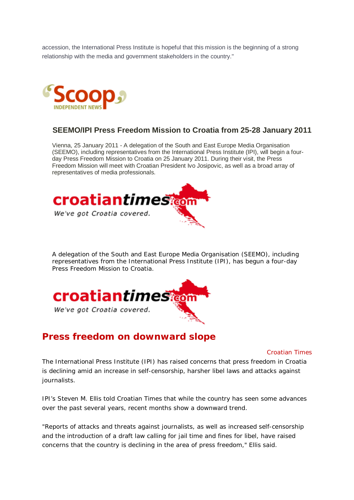accession, the International Press Institute is hopeful that this mission is the beginning of a strong relationship with the media and government stakeholders in the country."



### **SEEMO/IPI Press Freedom Mission to Croatia from 25-28 January 2011**

Vienna, 25 January 2011 - A delegation of the South and East Europe Media Organisation (SEEMO), including representatives from the International Press Institute (IPI), will begin a fourday Press Freedom Mission to Croatia on 25 January 2011. During their visit, the Press Freedom Mission will meet with Croatian President Ivo Josipovic, as well as a broad array of representatives of media professionals.



A delegation of the South and East Europe Media Organisation (SEEMO), including representatives from the International Press Institute (IPI), has begun a four-day Press Freedom Mission to Croatia.



## **Press freedom on downward slope**

*Croatian Times*

The International Press Institute (IPI) has raised concerns that press freedom in Croatia is declining amid an increase in self-censorship, harsher libel laws and attacks against journalists.

IPI's Steven M. Ellis told Croatian Times that while the country has seen some advances over the past several years, recent months show a downward trend.

"Reports of attacks and threats against journalists, as well as increased self-censorship and the introduction of a draft law calling for jail time and fines for libel, have raised concerns that the country is declining in the area of press freedom," Ellis said.